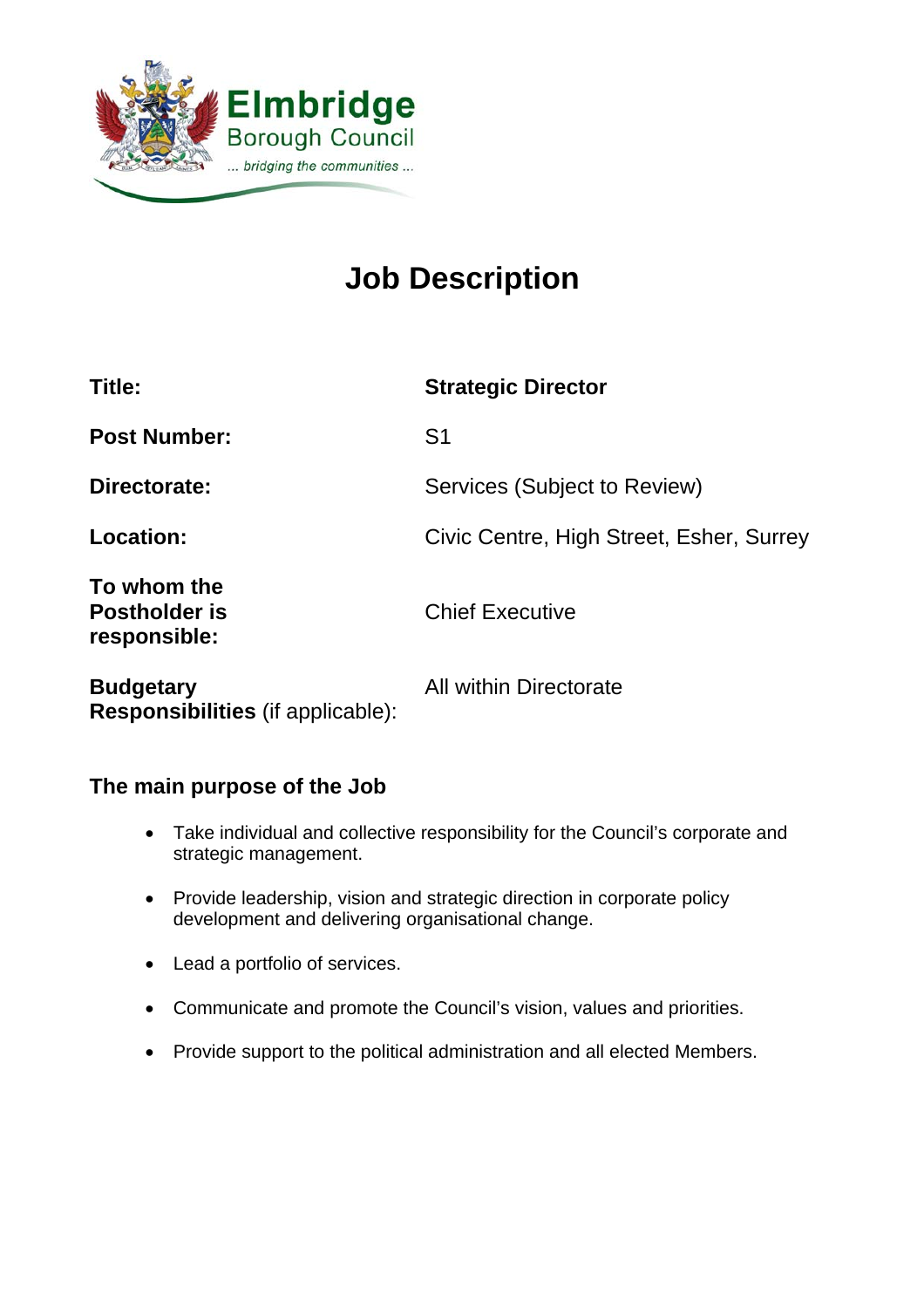

# **Job Description**

| Title:                                              | <b>Strategic Director</b>                |
|-----------------------------------------------------|------------------------------------------|
| <b>Post Number:</b>                                 | S <sub>1</sub>                           |
| Directorate:                                        | Services (Subject to Review)             |
| Location:                                           | Civic Centre, High Street, Esher, Surrey |
| To whom the<br><b>Postholder is</b><br>responsible: | <b>Chief Executive</b>                   |
| <b>Budgetary</b>                                    | <b>All within Directorate</b>            |

**Responsibilities** (if applicable):

# **The main purpose of the Job**

- Take individual and collective responsibility for the Council's corporate and strategic management.
- Provide leadership, vision and strategic direction in corporate policy development and delivering organisational change.
- Lead a portfolio of services.
- Communicate and promote the Council's vision, values and priorities.
- Provide support to the political administration and all elected Members.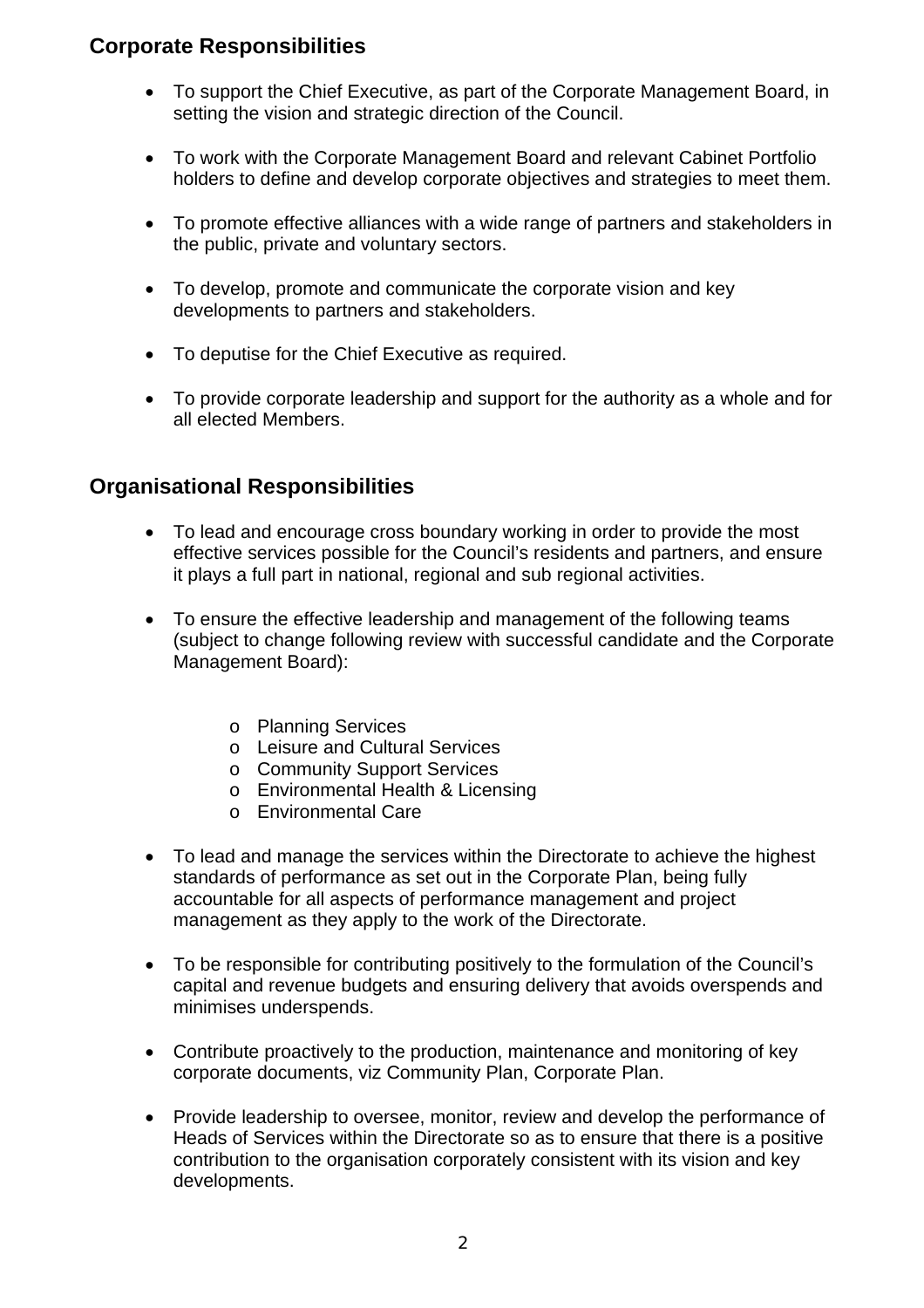# **Corporate Responsibilities**

- To support the Chief Executive, as part of the Corporate Management Board, in setting the vision and strategic direction of the Council.
- To work with the Corporate Management Board and relevant Cabinet Portfolio holders to define and develop corporate objectives and strategies to meet them.
- To promote effective alliances with a wide range of partners and stakeholders in the public, private and voluntary sectors.
- To develop, promote and communicate the corporate vision and key developments to partners and stakeholders.
- To deputise for the Chief Executive as required.
- To provide corporate leadership and support for the authority as a whole and for all elected Members.

# **Organisational Responsibilities**

- To lead and encourage cross boundary working in order to provide the most effective services possible for the Council's residents and partners, and ensure it plays a full part in national, regional and sub regional activities.
- To ensure the effective leadership and management of the following teams (subject to change following review with successful candidate and the Corporate Management Board):
	- o Planning Services
	- o Leisure and Cultural Services
	- o Community Support Services
	- o Environmental Health & Licensing
	- o Environmental Care
- To lead and manage the services within the Directorate to achieve the highest standards of performance as set out in the Corporate Plan, being fully accountable for all aspects of performance management and project management as they apply to the work of the Directorate.
- To be responsible for contributing positively to the formulation of the Council's capital and revenue budgets and ensuring delivery that avoids overspends and minimises underspends.
- Contribute proactively to the production, maintenance and monitoring of key corporate documents, viz Community Plan, Corporate Plan.
- Provide leadership to oversee, monitor, review and develop the performance of Heads of Services within the Directorate so as to ensure that there is a positive contribution to the organisation corporately consistent with its vision and key developments.